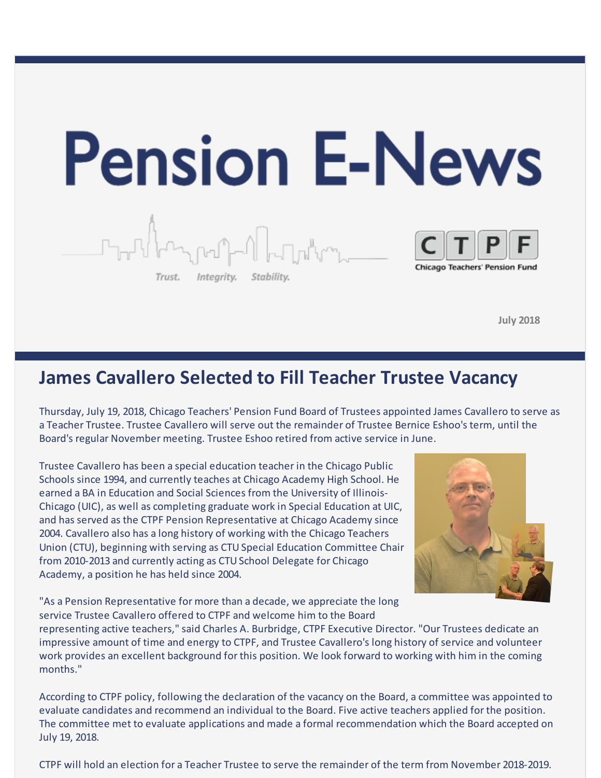

**July 2018**

### **James Cavallero Selected to Fill Teacher Trustee Vacancy**

Thursday, July 19, 2018, Chicago Teachers' Pension Fund Board of Trustees appointed James Cavallero to serve as a Teacher Trustee. Trustee Cavallero will serve out the remainder of Trustee Bernice Eshoo's term, until the Board's regular November meeting. Trustee Eshoo retired from active service in June.

Trustee Cavallero has been a special education teacher in the Chicago Public Schools since 1994, and currently teaches at Chicago Academy High School. He earned a BA in Education and Social Sciences from the University of Illinois-Chicago (UIC), as well as completing graduate work in Special Education at UIC, and has served as the CTPF Pension Representative at Chicago Academy since 2004. Cavallero also has a long history of working with the Chicago Teachers Union (CTU), beginning with serving as CTU Special Education Committee Chair from 2010-2013 and currently acting as CTU School Delegate for Chicago Academy, a position he has held since 2004.



"As a Pension Representative for more than a decade, we appreciate the long service Trustee Cavallero offered to CTPF and welcome him to the Board

representing active teachers," said Charles A. Burbridge, CTPF Executive Director. "Our Trustees dedicate an impressive amount of time and energy to CTPF, and Trustee Cavallero's long history of service and volunteer work provides an excellent background for this position. We look forward to working with him in the coming months."

According to CTPF policy, following the declaration of the vacancy on the Board, a committee was appointed to evaluate candidates and recommend an individual to the Board. Five active teachers applied for the position. The committee met to evaluate applications and made a formal recommendation which the Board accepted on July 19, 2018.

CTPF will hold an election for a Teacher Trustee to serve the remainder of the term from November 2018-2019.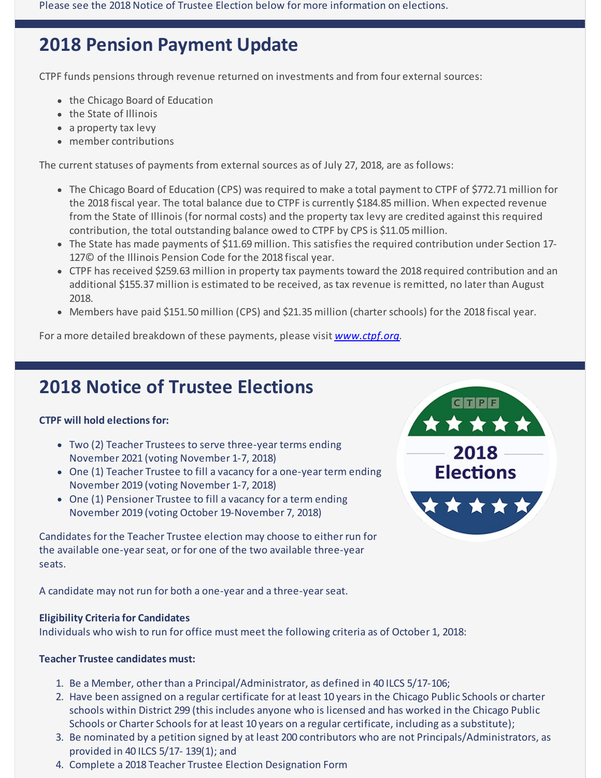Please see the 2018 Notice of Trustee Election below for more information on elections.

# **2018 Pension Payment Update**

CTPF funds pensions through revenue returned on investments and from four external sources:

- the Chicago Board of Education
- the State of Illinois
- a property tax levy
- member contributions

The current statuses of payments from external sources as of July 27, 2018, are as follows:

- The Chicago Board of Education (CPS) was required to make a total payment to CTPF of \$772.71 million for the 2018 fiscal year. The total balance due to CTPF is currently \$184.85 million. When expected revenue from the State of Illinois (for normal costs) and the property tax levy are credited against this required contribution, the total outstanding balance owed to CTPF by CPS is \$11.05 million.
- The State has made payments of \$11.69 million. This satisfies the required contribution under Section 17-127© of the Illinois Pension Code for the 2018 fiscal year.
- CTPF has received \$259.63 million in property tax payments toward the 2018 required contribution and an additional \$155.37 million is estimated to be received, as tax revenue is remitted, no later than August 2018.
- Members have paid \$151.50 million (CPS) and \$21.35 million (charter schools) for the 2018 fiscal year.

For a more detailed breakdown of these payments, please visit *[www.ctpf.org](http://r20.rs6.net/tn.jsp?f=001xU5GlmAVOIV68G9f70Fu6WA4ktP118GWwxDYBLvy-Qs4WdbYoRjGJmCvCXNnIkj413m-UGniVSJWDVTlWIdZoX2ci1tJCEUfpbvJjSrzsIc1SAMFhCpcVR74elN2OxA3WrXDH4gNOFKawXeg2kfTXd_VBgFLIfPhPWaXtqjbzvb7ZFKB3E0qLeuDwE7RnergEnspg6F5JYXqq8AtuKV-ow==&c=&ch=).*

# **2018 Notice of Trustee Elections**

### **CTPF will hold elections for:**

- Two (2) Teacher Trustees to serve three-year terms ending November 2021 (voting November 1-7, 2018)
- One (1) Teacher Trustee to fill a vacancy for a one-year term ending November 2019 (voting November 1-7, 2018)
- One (1) Pensioner Trustee to fill a vacancy for a term ending November 2019 (voting October 19-November 7, 2018)

Candidates for the Teacher Trustee election may choose to either run for the available one-year seat, or for one of the two available three-year seats.

A candidate may not run for both a one-year and a three-yearseat.

### **Eligibility Criteria for Candidates**

Individuals who wish to run for office must meet the following criteria as of October 1, 2018:

### **Teacher Trustee candidates must:**

- 1. Be a Member, other than a Principal/Administrator, as defined in 40 ILCS 5/17-106;
- 2. Have been assigned on a regular certificate for at least 10 years in the Chicago Public Schools or charter schools within District 299 (this includes anyone who is licensed and has worked in the Chicago Public Schools or Charter Schools for at least 10 years on a regular certificate, including as a substitute);
- 3. Be nominated by a petition signed by at least 200 contributors who are not Principals/Administrators, as provided in 40 ILCS 5/17- 139(1); and
- 4. Complete a 2018 Teacher Trustee Election Designation Form

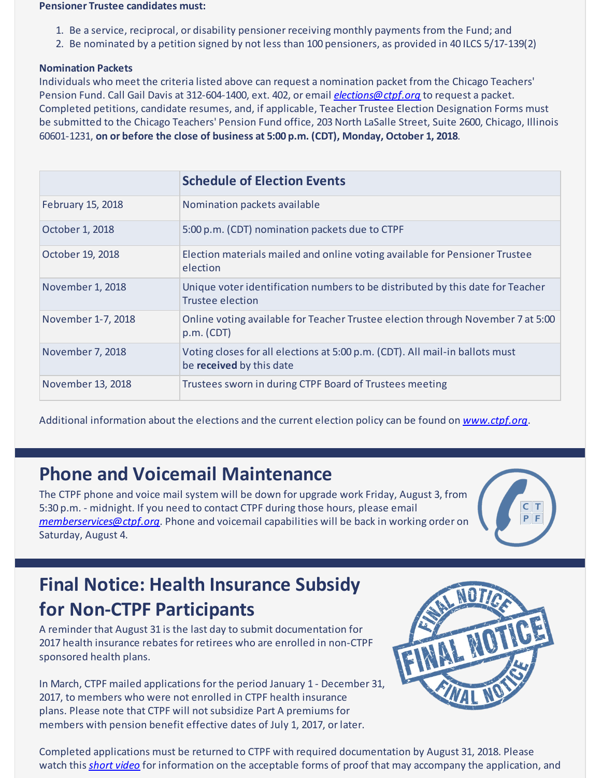#### **Pensioner Trustee candidates must:**

- 1. Be a service, reciprocal, or disability pensioner receiving monthly payments from the Fund; and
- 2. Be nominated by a petition signed by not less than 100 pensioners, as provided in 40 ILCS 5/17-139(2)

#### **Nomination Packets**

Individuals who meet the criteria listed above can request a nomination packet from the Chicago Teachers' Pension Fund. Call Gail Davis at 312-604-1400, ext. 402, or email *[elections@ctpf.org](mailto:elections@ctpf.org)* to request a packet. Completed petitions, candidate resumes, and, if applicable, Teacher Trustee Election Designation Forms must be submitted to the Chicago Teachers' Pension Fund office, 203 North LaSalle Street, Suite 2600, Chicago, Illinois 60601-1231, **on or before the close of business at 5:00 p.m. (CDT), Monday, October 1, 2018**.

|                    | <b>Schedule of Election Events</b>                                                                        |
|--------------------|-----------------------------------------------------------------------------------------------------------|
| February 15, 2018  | Nomination packets available                                                                              |
| October 1, 2018    | 5:00 p.m. (CDT) nomination packets due to CTPF                                                            |
| October 19, 2018   | Election materials mailed and online voting available for Pensioner Trustee<br>election                   |
| November 1, 2018   | Unique voter identification numbers to be distributed by this date for Teacher<br><b>Trustee election</b> |
| November 1-7, 2018 | Online voting available for Teacher Trustee election through November 7 at 5:00<br>p.m. (CDT)             |
| November 7, 2018   | Voting closes for all elections at 5:00 p.m. (CDT). All mail-in ballots must<br>be received by this date  |
| November 13, 2018  | Trustees sworn in during CTPF Board of Trustees meeting                                                   |

Additional information about the elections and the current election policy can be found on *[www.ctpf.org](http://r20.rs6.net/tn.jsp?f=001xU5GlmAVOIV68G9f70Fu6WA4ktP118GWwxDYBLvy-Qs4WdbYoRjGJoYCkiAIElkR2vT6hiQ1Vk2ijrg19s77G4geCU23AETuokK1m6g-03jz9qpnkshXJXM-lKOEg3TKXxaRR4j_Fdpt6z2W3SvQ2mO0uvsrjyetUeJt8fH6_R37UNIyDEvKc3IEFkR6v8rU&c=&ch=)*.

### **Phone and Voicemail Maintenance**

The CTPF phone and voice mail system will be down for upgrade work Friday, August 3, from 5:30 p.m. - midnight. If you need to contact CTPF during those hours, please email *[memberservices@ctpf.org](mailto:memberservices@ctpf.org)*. Phone and voicemail capabilities will be back in working order on Saturday, August 4.



# **Final Notice: Health Insurance Subsidy for Non-CTPF Participants**

A reminder that August 31 is the last day to submit documentation for 2017 health insurance rebates for retirees who are enrolled in non-CTPF sponsored health plans.

In March, CTPF mailed applications for the period January 1 - December 31, 2017, to members who were not enrolled in CTPF health insurance plans. Please note that CTPF will not subsidize Part A premiums for members with pension benefit effective dates of July 1, 2017, or later.



Completed applications must be returned to CTPF with required documentation by August 31, 2018. Please watch this *[short](http://r20.rs6.net/tn.jsp?f=001xU5GlmAVOIV68G9f70Fu6WA4ktP118GWwxDYBLvy-Qs4WdbYoRjGJmCvCXNnIkj4yUizcNXTEkI60uKa2zq4ti3wXUQdU0JQ3dVswc3_l6BgKV9R7To1Y76M6_K9Ke-PvSG0m5Niu7U7jqsoVIuQ5AWKSR_p3YDMj2SusmpjfWY5IhffCWS9QGIEQ9yhhRllcxYcmpHTz8e0RtIPqnq6kA==&c=&ch=) video* for information on the acceptable forms of proof that may accompany the application, and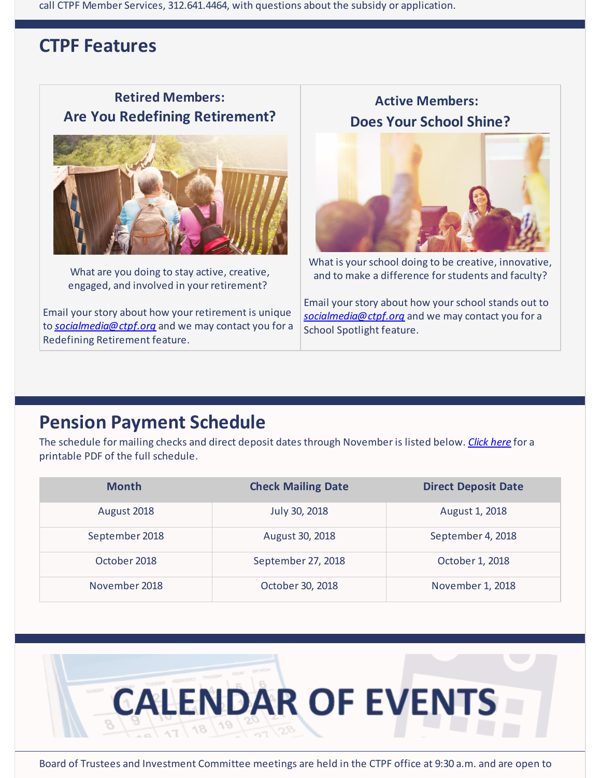call CTPF Member Services, 312.641.4464, with questions about the subsidy or application.

### **CTPF Features**

### **Retired Members: Are You Redefining Retirement?**



What are you doing to stay active, creative, engaged, and involved in your retirement?

Email your story about how your retirement is unique to *[socialmedia@ctpf.org](mailto:socialmedia@ctpf.org)* and we may contact you for a Redefining Retirement feature.

**Active Members: Does Your School Shine?**



What is your school doing to be creative, innovative, and to make a difference for students and faculty?

Email your story about how your school stands out to *[socialmedia@ctpf.org](mailto:socialmedia@ctpf.org)* and we may contact you for a School Spotlight feature.

## **Pension Payment Schedule**

The schedule for mailing checks and direct deposit dates through November is listed below. *[Click](http://r20.rs6.net/tn.jsp?f=001xU5GlmAVOIV68G9f70Fu6WA4ktP118GWwxDYBLvy-Qs4WdbYoRjGJoYCkiAIElkRuah9_x14MHOjt7gobXo5Cgr_hcs7yxbbUU68EdB6i0AKKDTRXOAu-Hly15bvHe8DUBkCtMuj15rGlrkydZ5fMNVi-gsKuemUqr0OJJ8O0rsbfjMolulhIkYemndfMxb9&c=&ch=) here* for a printable PDF of the full schedule.

| <b>Month</b>   | <b>Check Mailing Date</b> | <b>Direct Deposit Date</b> |
|----------------|---------------------------|----------------------------|
| August 2018    | July 30, 2018             | August 1, 2018             |
| September 2018 | August 30, 2018           | September 4, 2018          |
| October 2018   | September 27, 2018        | October 1, 2018            |
| November 2018  | October 30, 2018          | November 1, 2018           |



Board of Trustees and Investment Committee meetings are held in the CTPF office at 9:30 a.m. and are open to